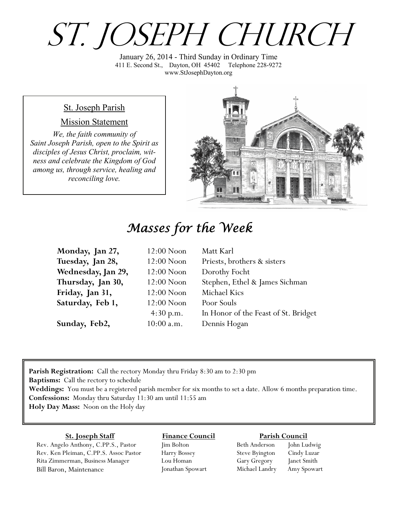# ST. JOSEPH CHURCH

January 26, 2014 - Third Sunday in Ordinary Time 411 E. Second St., Dayton, OH 45402 Telephone 228-9272 www.StJosephDayton.org

#### St. Joseph Parish

#### Mission Statement

*We, the faith community of Saint Joseph Parish, open to the Spirit as disciples of Jesus Christ, proclaim, witness and celebrate the Kingdom of God among us, through service, healing and reconciling love.*



## *Masses for the Week*

| Monday, Jan 27,    | $12:00$ Noon | Matt Karl                            |
|--------------------|--------------|--------------------------------------|
| Tuesday, Jan 28,   | $12:00$ Noon | Priests, brothers & sisters          |
| Wednesday, Jan 29, | $12:00$ Noon | Dorothy Focht                        |
| Thursday, Jan 30,  | $12:00$ Noon | Stephen, Ethel & James Sichman       |
| Friday, Jan 31,    | $12:00$ Noon | Michael Kics                         |
| Saturday, Feb 1,   | $12:00$ Noon | Poor Souls                           |
|                    | 4:30 p.m.    | In Honor of the Feast of St. Bridget |
| Sunday, Feb2,      | $10:00$ a.m. | Dennis Hogan                         |

**Parish Registration:** Call the rectory Monday thru Friday 8:30 am to 2:30 pm **Baptisms:** Call the rectory to schedule **Weddings:** You must be a registered parish member for six months to set a date. Allow 6 months preparation time. **Confessions:** Monday thru Saturday 11:30 am until 11:55 am **Holy Day Mass:** Noon on the Holy day

#### **St. Joseph Staff**

Rev. Angelo Anthony, C.PP.S., Pastor Rev. Ken Pleiman, C.PP.S. Assoc Pastor Rita Zimmerman, Business Manager Bill Baron, Maintenance

**Finance Council** Jim Bolton Harry Bossey

Lou Homan Jonathan Spowart

#### **Parish Council**

Beth Anderson John Ludwig Steve Byington Cindy Luzar Gary Gregory Janet Smith Michael Landry Amy Spowart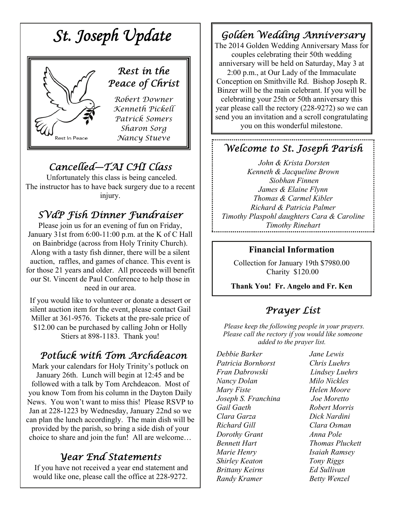

## *Cancelled—TAI CHI Class*

Unfortunately this class is being canceled. The instructor has to have back surgery due to a recent injury.

## *SVdP Fish Dinner Fundraiser*

Please join us for an evening of fun on Friday, January 31st from 6:00-11:00 p.m. at the K of C Hall on Bainbridge (across from Holy Trinity Church). Along with a tasty fish dinner, there will be a silent auction, raffles, and games of chance. This event is for those 21 years and older. All proceeds will benefit our St. Vincent de Paul Conference to help those in need in our area.

If you would like to volunteer or donate a dessert or silent auction item for the event, please contact Gail Miller at 361-9576. Tickets at the pre-sale price of \$12.00 can be purchased by calling John or Holly Stiers at 898-1183. Thank you!

### *Potluck with Tom Archdeacon*

Mark your calendars for Holy Trinity's potluck on January 26th. Lunch will begin at 12:45 and be followed with a talk by Tom Archdeacon. Most of you know Tom from his column in the Dayton Daily News. You won't want to miss this! Please RSVP to Jan at 228-1223 by Wednesday, January 22nd so we can plan the lunch accordingly. The main dish will be provided by the parish, so bring a side dish of your choice to share and join the fun! All are welcome…

#### *Year End Statements*

 If you have not received a year end statement and would like one, please call the office at 228-9272.

## *Golden Wedding Anniversary*

The 2014 Golden Wedding Anniversary Mass for couples celebrating their 50th wedding anniversary will be held on Saturday, May 3 at 2:00 p.m., at Our Lady of the Immaculate Conception on Smithville Rd. Bishop Joseph R. Binzer will be the main celebrant. If you will be celebrating your 25th or 50th anniversary this year please call the rectory (228-9272) so we can send you an invitation and a scroll congratulating you on this wonderful milestone.

### *Welcome to St. Joseph Parish*

*John & Krista Dorsten Kenneth & Jacqueline Brown Siobhan Finnen James & Elaine Flynn Thomas & Carmel Kibler Richard & Patricia Palmer Timothy Plaspohl daughters Cara & Caroline Timothy Rinehart* 

#### **Financial Information**

Collection for January 19th \$7980.00 Charity \$120.00

**Thank You! Fr. Angelo and Fr. Ken**

### *Prayer List*

 *Please keep the following people in your prayers. Please call the rectory if you would like someone added to the prayer list.* 

*Debbie Barker Jane Lewis Patricia Bornhorst Chris Luehrs Fran Dabrowski Lindsey Luehrs Nancy Dolan Milo Nickles Mary Fiste Helen Moore Joseph S. Franchina Joe Moretto Gail Gaeth Robert Morris Clara Garza Dick Nardini Richard Gill Clara Osman Dorothy Grant Anna Pole Bennett Hart Thomas Pluckett Marie Henry Isaiah Ramsey Shirley Keaton Tony Riggs Brittany Keirns Ed Sullivan Randy Kramer Betty Wenzel*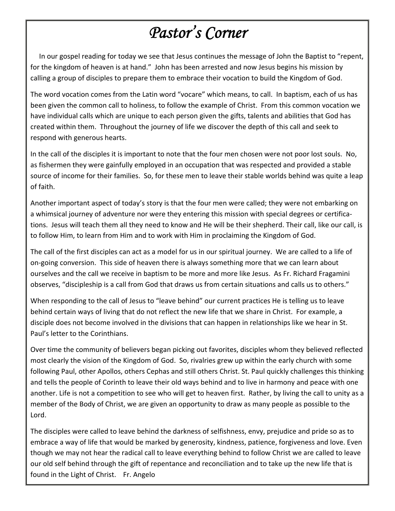## *Pastor's Corner*

 In our gospel reading for today we see that Jesus continues the message of John the Baptist to "repent, for the kingdom of heaven is at hand." John has been arrested and now Jesus begins his mission by calling a group of disciples to prepare them to embrace their vocation to build the Kingdom of God.

The word vocation comes from the Latin word "vocare" which means, to call. In baptism, each of us has been given the common call to holiness, to follow the example of Christ. From this common vocation we have individual calls which are unique to each person given the gifts, talents and abilities that God has created within them. Throughout the journey of life we discover the depth of this call and seek to respond with generous hearts.

In the call of the disciples it is important to note that the four men chosen were not poor lost souls. No, as fishermen they were gainfully employed in an occupation that was respected and provided a stable source of income for their families. So, for these men to leave their stable worlds behind was quite a leap of faith.

Another important aspect of today's story is that the four men were called; they were not embarking on a whimsical journey of adventure nor were they entering this mission with special degrees or certifications. Jesus will teach them all they need to know and He will be their shepherd. Their call, like our call, is to follow Him, to learn from Him and to work with Him in proclaiming the Kingdom of God.

The call of the first disciples can act as a model for us in our spiritual journey. We are called to a life of on‐going conversion. This side of heaven there is always something more that we can learn about ourselves and the call we receive in baptism to be more and more like Jesus. As Fr. Richard Fragamini observes, "discipleship is a call from God that draws us from certain situations and calls us to others."

When responding to the call of Jesus to "leave behind" our current practices He is telling us to leave behind certain ways of living that do not reflect the new life that we share in Christ. For example, a disciple does not become involved in the divisions that can happen in relationships like we hear in St. Paul's letter to the Corinthians.

Over time the community of believers began picking out favorites, disciples whom they believed reflected most clearly the vision of the Kingdom of God. So, rivalries grew up within the early church with some following Paul, other Apollos, others Cephas and still others Christ. St. Paul quickly challenges this thinking and tells the people of Corinth to leave their old ways behind and to live in harmony and peace with one another. Life is not a competition to see who will get to heaven first. Rather, by living the call to unity as a member of the Body of Christ, we are given an opportunity to draw as many people as possible to the Lord.

The disciples were called to leave behind the darkness of selfishness, envy, prejudice and pride so as to embrace a way of life that would be marked by generosity, kindness, patience, forgiveness and love. Even though we may not hear the radical call to leave everything behind to follow Christ we are called to leave our old self behind through the gift of repentance and reconciliation and to take up the new life that is found in the Light of Christ. Fr. Angelo